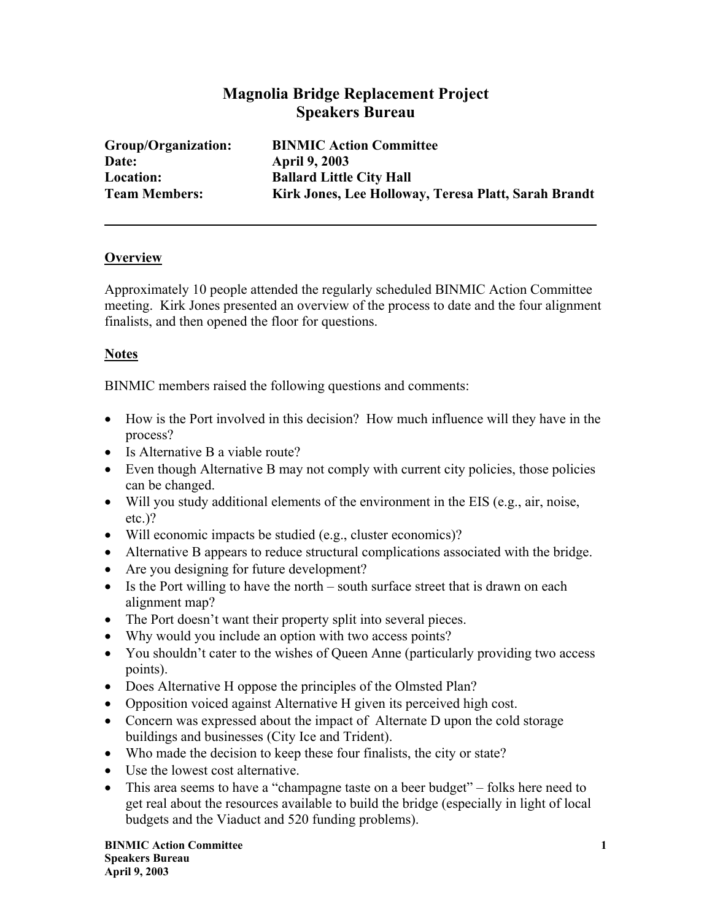# **Magnolia Bridge Replacement Project Speakers Bureau**

**Date: April 9, 2003** 

**Group/Organization: BINMIC Action Committee Location: Ballard Little City Hall Team Members: Kirk Jones, Lee Holloway, Teresa Platt, Sarah Brandt** 

#### **Overview**

Approximately 10 people attended the regularly scheduled BINMIC Action Committee meeting. Kirk Jones presented an overview of the process to date and the four alignment finalists, and then opened the floor for questions.

### **Notes**

BINMIC members raised the following questions and comments:

- How is the Port involved in this decision? How much influence will they have in the process?
- Is Alternative B a viable route?
- Even though Alternative B may not comply with current city policies, those policies can be changed.
- Will you study additional elements of the environment in the EIS (e.g., air, noise, etc.)?
- Will economic impacts be studied (e.g., cluster economics)?
- Alternative B appears to reduce structural complications associated with the bridge.
- Are you designing for future development?
- Is the Port willing to have the north south surface street that is drawn on each alignment map?
- The Port doesn't want their property split into several pieces.
- Why would you include an option with two access points?
- You shouldn't cater to the wishes of Queen Anne (particularly providing two access points).
- Does Alternative H oppose the principles of the Olmsted Plan?
- Opposition voiced against Alternative H given its perceived high cost.
- Concern was expressed about the impact of Alternate D upon the cold storage buildings and businesses (City Ice and Trident).
- Who made the decision to keep these four finalists, the city or state?
- Use the lowest cost alternative.
- This area seems to have a "champagne taste on a beer budget" folks here need to get real about the resources available to build the bridge (especially in light of local budgets and the Viaduct and 520 funding problems).

**BINMIC Action Committee 1 1 Speakers Bureau April 9, 2003**